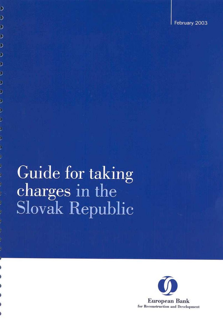# Guide for taking charges in the **Slovak Republic**

 $\overline{\mathcal{L}}$ 

 $\overline{\mathcal{L}}$ 

 $\mathcal{S}$ 

 $\overline{)}$ 

 $\mathcal{I}$ 

 $\overline{)}$ 

 $\mathcal{I}$ 

 $\mathcal{I}$ 

 $\mathcal{I}$ 

 $\mathcal{I}$ 

 $\mathcal{L}$ 

J

 $\mathcal{I}$ 

J

þ

J

þ

)

þ

P

þ

þ

)

b.

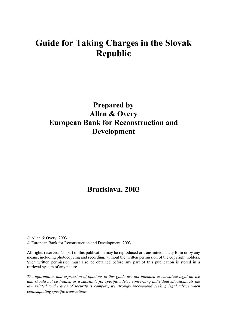# **Guide for Taking Charges in the Slovak Republic**

# **Prepared by Allen & Overy European Bank for Reconstruction and Development**

# **Bratislava, 2003**

© Allen & Overy, 2003 © European Bank for Reconstruction and Development, 2003

All rights reserved. No part of this publication may be reproduced or transmitted in any form or by any means, including photocopying and recording, without the written permission of the copyright holders. Such written permission must also be obtained before any part of this publication is stored in a retrieval system of any nature.

*The information and expression of opinions in this guide are not intended to constitute legal advice and should not be treated as a substitute for specific advice concerning individual situations. As the law related to the area of security is complex, we strongly recommend seeking legal advice when contemplating specific transactions.*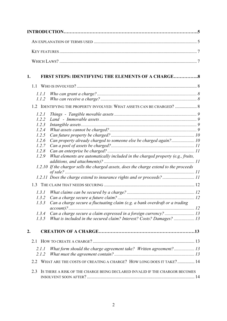| 1.               |                | <b>FIRST STEPS: IDENTIFYING THE ELEMENTS OF A CHARGE</b>                               |  |
|------------------|----------------|----------------------------------------------------------------------------------------|--|
|                  |                |                                                                                        |  |
|                  |                |                                                                                        |  |
|                  | 1.1.1          |                                                                                        |  |
|                  | 1.1.2          |                                                                                        |  |
|                  |                | 1.2 IDENTIFYING THE PROPERTY INVOLVED: WHAT ASSETS CAN BE CHARGED?  8                  |  |
|                  | 1.2.1          |                                                                                        |  |
|                  | 1.2.2          |                                                                                        |  |
|                  | 1.2.3          |                                                                                        |  |
|                  | 1.2.4<br>1.2.5 |                                                                                        |  |
|                  | 1.2.6          | Can property already charged to someone else be charged again? 10                      |  |
|                  | 1.2.7          |                                                                                        |  |
|                  | 1.2.8          |                                                                                        |  |
|                  | 1.2.9          | What elements are automatically included in the charged property (e.g., fruits,        |  |
|                  |                | 1.2.10 If the chargor sells the charged assets, does the charge extend to the proceeds |  |
|                  |                | 1.2.11 Does the charge extend to insurance rights and or proceeds?11                   |  |
|                  |                |                                                                                        |  |
|                  | 1.3.1          |                                                                                        |  |
|                  |                |                                                                                        |  |
|                  | 1.3.3          | Can a charge secure a fluctuating claim (e.g. a bank overdraft or a trading            |  |
|                  | 1.3.4          |                                                                                        |  |
|                  | 1.3.5          | What is included in the secured claim? Interest? Costs? Damages?  13                   |  |
| $\overline{2}$ . |                |                                                                                        |  |
|                  | 2.1            |                                                                                        |  |
|                  | 2.1.1<br>2.1.2 | What form should the charge agreement take? Written agreement? 13                      |  |
|                  | 2.2            | WHAT ARE THE COSTS OF CREATING A CHARGE? HOW LONG DOES IT TAKE? 14                     |  |
|                  | 2.3            | IS THERE A RISK OF THE CHARGE BEING DECLARED INVALID IF THE CHARGOR BECOMES            |  |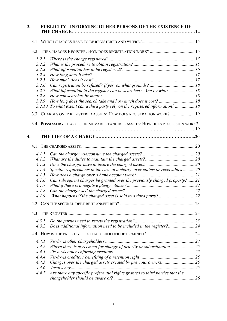| 3.               | PUBLICITY - INFORMING OTHER PERSONS OF THE EXISTENCE OF |                                                                                |  |  |
|------------------|---------------------------------------------------------|--------------------------------------------------------------------------------|--|--|
| 3.1              |                                                         |                                                                                |  |  |
|                  |                                                         |                                                                                |  |  |
|                  | 3.2.1                                                   |                                                                                |  |  |
|                  | 3.2.2                                                   |                                                                                |  |  |
|                  | 3.2.3                                                   |                                                                                |  |  |
|                  | 3.2.4                                                   |                                                                                |  |  |
|                  | 3.2.5                                                   |                                                                                |  |  |
|                  | 3.2.6                                                   |                                                                                |  |  |
|                  | 3.2.7                                                   | What information in the register can be searched? And by who?  18              |  |  |
|                  | 3.2.8<br>3.2.9                                          |                                                                                |  |  |
|                  |                                                         | 3.2.10 To what extent can a third party rely on the registered information? 18 |  |  |
|                  |                                                         |                                                                                |  |  |
|                  |                                                         | 3.3 CHARGES OVER REGISTERED ASSETS: HOW DOES REGISTRATION WORK?  19            |  |  |
|                  |                                                         | 3.4 POSSESSORY CHARGES ON MOVABLE TANGIBLE ASSETS: HOW DOES POSSESSION WORK?   |  |  |
|                  |                                                         |                                                                                |  |  |
| $\overline{4}$ . |                                                         |                                                                                |  |  |
| 4.1              |                                                         |                                                                                |  |  |
|                  | 4.1.1                                                   |                                                                                |  |  |
|                  | 4.1.2                                                   |                                                                                |  |  |
|                  | 4.1.3                                                   |                                                                                |  |  |
|                  | 4.1.4                                                   | Specific requirements in the case of a charge over claims or receivables  20   |  |  |
|                  | 4.1.5                                                   |                                                                                |  |  |
|                  | 4.1.6<br>4.1.7                                          | Can subsequent charges be granted over the previously charged property?  21    |  |  |
|                  | 4.1.8                                                   |                                                                                |  |  |
|                  | 4.1.9                                                   |                                                                                |  |  |
|                  |                                                         |                                                                                |  |  |
|                  |                                                         |                                                                                |  |  |
| 4.3              |                                                         |                                                                                |  |  |
|                  | 4.3.1                                                   |                                                                                |  |  |
|                  | 4.3.2                                                   |                                                                                |  |  |
|                  |                                                         |                                                                                |  |  |
|                  | 4.4.1                                                   |                                                                                |  |  |
|                  | 4.4.2                                                   |                                                                                |  |  |
|                  | 4.4.3                                                   |                                                                                |  |  |
|                  | 4.4.4                                                   |                                                                                |  |  |
|                  | 4.4.5                                                   |                                                                                |  |  |
|                  | 4.4.6                                                   |                                                                                |  |  |
|                  | 4.4.7                                                   | Are there any specific preferential rights granted to third parties that the   |  |  |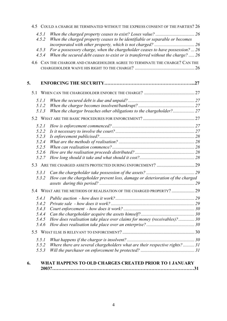|    | 4.5            |                | COULD A CHARGE BE TERMINATED WITHOUT THE EXPRESS CONSENT OF THE PARTIES? 26                                                                                      |  |
|----|----------------|----------------|------------------------------------------------------------------------------------------------------------------------------------------------------------------|--|
|    | 4.5.1<br>4.5.2 |                | When the charged property ceases to be identifiable or separable or becomes                                                                                      |  |
|    |                | 4.5.3<br>4.5.4 | For a possessory charge, when the chargeholder ceases to have possession?  26<br>When the secured debt ceases to exist or is transferred without the charge?  26 |  |
|    |                |                | 4.6 CAN THE CHARGOR AND CHARGEHOLDER AGREE TO TERMINATE THE CHARGE? CAN THE                                                                                      |  |
| 5. |                |                |                                                                                                                                                                  |  |
|    | 5.1            |                |                                                                                                                                                                  |  |
|    |                | 5.1.1          |                                                                                                                                                                  |  |
|    |                | 5.1.2          |                                                                                                                                                                  |  |
|    |                | 5.1.3          | When the chargor breaches other obligations to the chargeholder? 27                                                                                              |  |
|    |                |                |                                                                                                                                                                  |  |
|    |                | 5.2.1          |                                                                                                                                                                  |  |
|    |                | 5.2.2          |                                                                                                                                                                  |  |
|    |                | 5.2.3          |                                                                                                                                                                  |  |
|    |                | 5.2.4          |                                                                                                                                                                  |  |
|    |                | 5.2.5          |                                                                                                                                                                  |  |
|    |                | 5.2.6          |                                                                                                                                                                  |  |
|    |                | 5.2.7          |                                                                                                                                                                  |  |
|    |                |                |                                                                                                                                                                  |  |
|    |                | 5.3.1          |                                                                                                                                                                  |  |
|    |                | 5.3.2          | How can the chargeholder prevent loss, damage or deterioration of the charged                                                                                    |  |
|    |                |                |                                                                                                                                                                  |  |
|    |                |                | 5.4 WHAT ARE THE METHODS OF REALISATION OF THE CHARGED PROPERTY?  29                                                                                             |  |
|    |                | 5.4.1          |                                                                                                                                                                  |  |
|    |                | 5.4.2          |                                                                                                                                                                  |  |
|    |                | 5.4.3          |                                                                                                                                                                  |  |
|    |                | 5.4.4          |                                                                                                                                                                  |  |
|    |                | 5.4.5          | How does realisation take place over claims for money (receivables)? 30                                                                                          |  |
|    |                | 5.4.6          |                                                                                                                                                                  |  |
|    |                |                |                                                                                                                                                                  |  |
|    |                | 5.5.1          |                                                                                                                                                                  |  |
|    |                | 5.5.2          | Where there are several chargeholders what are their respective rights? 31                                                                                       |  |
|    |                | 5.5.3          |                                                                                                                                                                  |  |
|    |                |                |                                                                                                                                                                  |  |

# **6. WHAT HAPPENS TO OLD CHARGES CREATED PRIOR TO 1 JANUARY [2003?…………………………………………………………………………………31](#page-31-2)**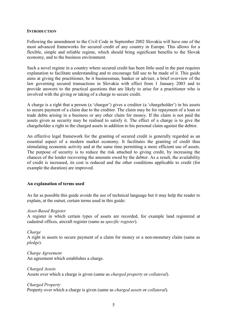#### <span id="page-5-0"></span>**INTRODUCTION**

Following the amendment to the Civil Code in September 2002 Slovakia will have one of the most advanced frameworks for secured credit of any country in Europe. This allows for a flexible, simple and reliable regime, which should bring significant benefits to the Slovak economy, and to the business environment.

Such a novel regime in a country where secured credit has been little used in the past requires explanation to facilitate understanding and to encourage full use to be made of it. This guide aims at giving the practitioner, be it businessman, banker or adviser, a brief overview of the law governing secured transactions in Slovakia with effect from 1 January 2003 and to provide answers to the practical questions that are likely to arise for a practitioner who is involved with the giving or taking of a charge to secure credit.

A charge is a right that a person (a 'chargor') gives a creditor (a 'chargeholder') in his assets to secure payment of a claim due to the creditor. The claim may be for repayment of a loan or trade debts arising in a business or any other claim for money. If the claim is not paid the assets given as security may be realised to satisfy it. The effect of a charge is to give the chargeholder a right in the charged assets in addition to his personal claim against the debtor.

An effective legal framework for the granting of secured credit is generally regarded as an essential aspect of a modern market economy. It facilitates the granting of credit thus stimulating economic activity and at the same time permitting a more efficient use of assets. The purpose of security is to reduce the risk attached to giving credit, by increasing the chances of the lender recovering the amounts owed by the debtor. As a result, the availability of credit is increased, its cost is reduced and the other conditions applicable to credit (for example the duration) are improved.

# <span id="page-5-1"></span>**An explanation of terms used**

As far as possible this guide avoids the use of technical language but it may help the reader to explain, at the outset, certain terms used in this guide:

#### *Asset-Based Register*

A register in which certain types of assets are recorded, for example land registered at cadastral offices, aircraft register (same as *specific register*).

#### *Charge*

A right in assets to secure payment of a claim for money or a non-monetary claim (same as *pledge*).

*Charge Agreement* An agreement which establishes a charge.

# *Charged Assets* Assets over which a charge is given (same as *charged property* or *collateral*).

#### *Charged Property*

Property over which a charge is given (same as *charged assets* or *collateral*).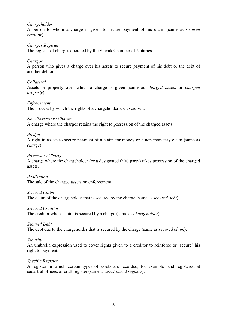# *Chargeholder*

A person to whom a charge is given to secure payment of his claim (same as *secured creditor*).

### *Charges Register*

The register of charges operated by the Slovak Chamber of Notaries.

### *Chargor*

A person who gives a charge over his assets to secure payment of his debt or the debt of another debtor.

#### *Collateral*

Assets or property over which a charge is given (same as *charged assets* or *charged property*).

### *Enforcement*

The process by which the rights of a chargeholder are exercised.

# *Non-Possessory Charge*

A charge where the chargor retains the right to possession of the charged assets.

### *Pledge*

A right in assets to secure payment of a claim for money or a non-monetary claim (same as *charge*).

### *Possessory Charge*

A charge where the chargeholder (or a designated third party) takes possession of the charged assets.

#### *Realisation*

The sale of the charged assets on enforcement.

#### *Secured Claim*

The claim of the chargeholder that is secured by the charge (same as *secured debt*).

#### *Secured Creditor*

The creditor whose claim is secured by a charge (same as *chargeholder*).

#### *Secured Debt*

The debt due to the chargeholder that is secured by the charge (same as *secured claim*).

#### *Security*

An umbrella expression used to cover rights given to a creditor to reinforce or 'secure' his right to payment.

#### *Specific Register*

A register in which certain types of assets are recorded, for example land registered at cadastral offices, aircraft register (same as *asset-based register*).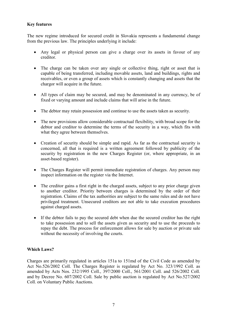# <span id="page-7-0"></span>**Key features**

The new regime introduced for secured credit in Slovakia represents a fundamental change from the previous law. The principles underlying it include:

- Any legal or physical person can give a charge over its assets in favour of any creditor.
- The charge can be taken over any single or collective thing, right or asset that is capable of being transferred, including movable assets, land and buildings, rights and receivables, or even a group of assets which is constantly changing and assets that the chargor will acquire in the future.
- All types of claim may be secured, and may be denominated in any currency, be of fixed or varying amount and include claims that will arise in the future.
- The debtor may retain possession and continue to use the assets taken as security.
- The new provisions allow considerable contractual flexibility, with broad scope for the debtor and creditor to determine the terms of the security in a way, which fits with what they agree between themselves.
- Creation of security should be simple and rapid. As far as the contractual security is concerned, all that is required is a written agreement followed by publicity of the security by registration in the new Charges Register (or, where appropriate, in an asset-based register).
- The Charges Register will permit immediate registration of charges. Any person may inspect information on the register via the Internet.
- The creditor gains a first right in the charged assets, subject to any prior charge given to another creditor. Priority between charges is determined by the order of their registration. Claims of the tax authorities are subject to the same rules and do not have privileged treatment. Unsecured creditors are not able to take execution procedures against charged assets.
- If the debtor fails to pay the secured debt when due the secured creditor has the right to take possession and to sell the assets given as security and to use the proceeds to repay the debt. The process for enforcement allows for sale by auction or private sale without the necessity of involving the courts.

# <span id="page-7-1"></span>**Which Laws?**

Charges are primarily regulated in articles 151a to 151md of the Civil Code as amended by Act No.526/2002 Coll. The Charges Register is regulated by Act No. 323/1992 Coll. as amended by Acts Nos. 232/1995 Coll., 397/2000 Coll., 561/2001 Coll. and 526/2002 Coll. and by Decree No. 607/2002 Coll. Sale by public auction is regulated by Act No.527/2002 Coll. on Voluntary Public Auctions.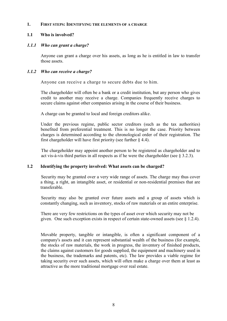#### <span id="page-8-0"></span>**1. FIRST STEPS: IDENTIFYING THE ELEMENTS OF A CHARGE**

# <span id="page-8-1"></span>**1.1 Who is involved?**

# <span id="page-8-2"></span>*1.1.1 Who can grant a charge?*

Anyone can grant a charge over his assets, as long as he is entitled in law to transfer those assets.

# <span id="page-8-3"></span>*1.1.2 Who can receive a charge?*

Anyone can receive a charge to secure debts due to him.

The chargeholder will often be a bank or a credit institution, but any person who gives credit to another may receive a charge. Companies frequently receive charges to secure claims against other companies arising in the course of their business.

A charge can be granted to local and foreign creditors alike.

Under the previous regime, public sector creditors (such as the tax authorities) benefited from preferential treatment. This is no longer the case. Priority between charges is determined according to the chronological order of their registration. The first chargeholder will have first priority (see further  $\S$  4.4).

The chargeholder may appoint another person to be registered as chargeholder and to act vis-à-vis third parties in all respects as if he were the chargeholder (see § 3.2.3).

# <span id="page-8-4"></span>**1.2 Identifying the property involved: What assets can be charged?**

Security may be granted over a very wide range of assets. The charge may thus cover a thing, a right, an intangible asset, or residential or non-residential premises that are transferable.

Security may also be granted over future assets and a group of assets which is constantly changing, such as inventory, stocks of raw materials or an entire enterprise.

There are very few restrictions on the types of asset over which security may not be given. One such exception exists in respect of certain state-owned assets (see § 1.2.4).

Movable property, tangible or intangible, is often a significant component of a company's assets and it can represent substantial wealth of the business (for example, the stocks of raw materials, the work in progress, the inventory of finished products, the claims against customers for goods supplied, the equipment and machinery used in the business, the trademarks and patents, etc). The law provides a viable regime for taking security over such assets, which will often make a charge over them at least as attractive as the more traditional mortgage over real estate.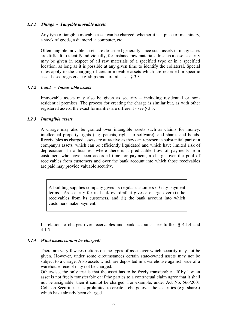# *1.2.1 Things - Tangible movable assets*

<span id="page-9-0"></span>Any type of tangible movable asset can be charged, whether it is a piece of machinery, a stock of goods, a diamond, a computer, etc.

Often tangible movable assets are described generally since such assets in many cases are difficult to identify individually, for instance raw materials. In such a case, security may be given in respect of all raw materials of a specified type or in a specified location, as long as it is possible at any given time to identify the collateral. Special rules apply to the charging of certain movable assets which are recorded in specific asset-based registers, e.g. ships and aircraft - see § 3.3.

### <span id="page-9-1"></span>*1.2.2 Land - Immovable assets*

Immovable assets may also be given as security – including residential or nonresidential premises. The process for creating the charge is similar but, as with other registered assets, the exact formalities are different - see § 3.3.

### <span id="page-9-2"></span>*1.2.3 Intangible assets*

A charge may also be granted over intangible assets such as claims for money, intellectual property rights (e.g. patents, rights to software), and shares and bonds. Receivables as charged assets are attractive as they can represent a substantial part of a company's assets, which can be efficiently liquidated and which have limited risk of depreciation. In a business where there is a predictable flow of payments from customers who have been accorded time for payment, a charge over the pool of receivables from customers and over the bank account into which those receivables are paid may provide valuable security.

A building supplies company gives its regular customers 60-day payment terms. As security for its bank overdraft it gives a charge over (i) the receivables from its customers, and (ii) the bank account into which customers make payment.

In relation to charges over receivables and bank accounts, see further  $\S$  4.1.4 and 4.1.5.

#### <span id="page-9-3"></span>*1.2.4 What assets cannot be charged?*

There are very few restrictions on the types of asset over which security may not be given. However, under some circumstances certain state-owned assets may not be subject to a charge. Also assets which are deposited in a warehouse against issue of a warehouse receipt may not be charged.

Otherwise, the only test is that the asset has to be freely transferable. If by law an asset is not freely transferable or if the parties to a contractual claim agree that it shall not be assignable, then it cannot be charged. For example, under Act No. 566/2001 Coll. on Securities, it is prohibited to create a charge over the securities (e.g. shares) which have already been charged.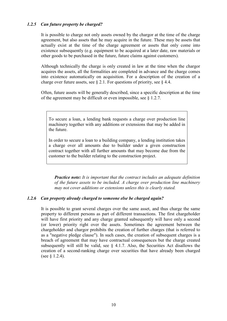# <span id="page-10-0"></span>*1.2.5 Can future property be charged?*

It is possible to charge not only assets owned by the chargor at the time of the charge agreement, but also assets that he may acquire in the future. These may be assets that actually exist at the time of the charge agreement or assets that only come into existence subsequently (e.g. equipment to be acquired at a later date, raw materials or other goods to be purchased in the future, future claims against customers).

Although technically the charge is only created in law at the time when the chargor acquires the assets, all the formalities are completed in advance and the charge comes into existence automatically on acquisition. For a description of the creation of a charge over future assets, see  $\S 2.1$ . For questions of priority, see  $\S 4.4$ .

Often, future assets will be generally described, since a specific description at the time of the agreement may be difficult or even impossible, see § 1.2.7.

To secure a loan, a lending bank requests a charge over production line machinery together with any additions or extensions that may be added in the future.

In order to secure a loan to a building company, a lending institution takes a charge over all amounts due to builder under a given construction contract together with all further amounts that may become due from the customer to the builder relating to the construction project.

*Practice note: It is important that the contract includes an adequate definition of the future assets to be included. A charge over production line machinery may not cover additions or extensions unless this is clearly stated.* 

#### <span id="page-10-1"></span>*1.2.6 Can property already charged to someone else be charged again?*

It is possible to grant several charges over the same asset, and thus charge the same property to different persons as part of different transactions. The first chargeholder will have first priority and any charge granted subsequently will have only a second (or lower) priority right over the assets. Sometimes the agreement between the chargeholder and chargor prohibits the creation of further charges (that is referred to as a "negative pledge clause"). In such cases, the creation of subsequent charges is a breach of agreement that may have contractual consequences but the charge created subsequently will still be valid, see  $\S$  4.1.7. Also, the Securities Act disallows the creation of a second-ranking charge over securities that have already been charged (see § 1.2.4).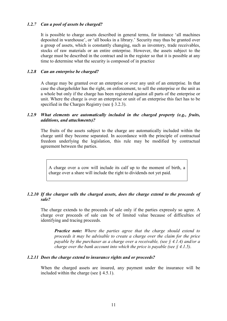### <span id="page-11-0"></span>*1.2.7 Can a pool of assets be charged?*

It is possible to charge assets described in general terms, for instance 'all machines deposited in warehouse', or 'all books in a library.' Security may thus be granted over a group of assets, which is constantly changing, such as inventory, trade receivables, stocks of raw materials or an entire enterprise. However, the assets subject to the charge must be described in the contract and in the register so that it is possible at any time to determine what the security is composed of in practice

### <span id="page-11-1"></span>*1.2.8 Can an enterprise be charged?*

A charge may be granted over an enterprise or over any unit of an enterprise. In that case the chargeholder has the right, on enforcement, to sell the enterprise or the unit as a whole but only if the charge has been registered against all parts of the enterprise or unit. Where the charge is over an enterprise or unit of an enterprise this fact has to be specified in the Charges Registry (see § 3.2.3).

# <span id="page-11-2"></span>*1.2.9 What elements are automatically included in the charged property (e.g., fruits, additions, and attachments)?*

The fruits of the assets subject to the charge are automatically included within the charge until they become separated. In accordance with the principle of contractual freedom underlying the legislation, this rule may be modified by contractual agreement between the parties.

A charge over a cow will include its calf up to the moment of birth, a charge over a share will include the right to dividends not yet paid.

## <span id="page-11-3"></span>*1.2.10 If the chargor sells the charged assets, does the charge extend to the proceeds of sale?*

The charge extends to the proceeds of sale only if the parties expressly so agree. A charge over proceeds of sale can be of limited value because of difficulties of identifying and tracing proceeds.

*Practice note: Where the parties agree that the charge should extend to proceeds it may be advisable to create a charge over the claim for the price payable by the purchaser as a charge over a receivable, (see § 4.1.4) and/or a charge over the bank account into which the price is payable (see § 4.1.5)*.

#### <span id="page-11-4"></span>*1.2.11 Does the charge extend to insurance rights and or proceeds?*

When the charged assets are insured, any payment under the insurance will be included within the charge (see  $\S$  4.5.1).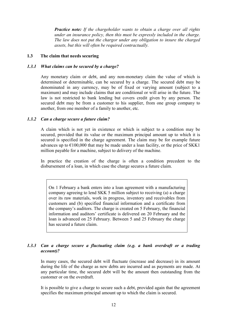*Practice note: If the chargeholder wants to obtain a charge over all rights under an insurance policy, then this must be expressly included in the charge. The law does not put the chargor under any obligation to insure the charged assets, but this will often be required contractually.*

### <span id="page-12-0"></span>**1.3 The claim that needs securing**

### <span id="page-12-1"></span>*1.3.1 What claims can be secured by a charge?*

Any monetary claim or debt, and any non-monetary claim the value of which is determined or determinable, can be secured by a charge. The secured debt may be denominated in any currency, may be of fixed or varying amount (subject to a maximum) and may include claims that are conditional or will arise in the future. The law is not restricted to bank lending but covers credit given by any person. The secured debt may be from a customer to his supplier, from one group company to another, from one member of a family to another, etc.

### <span id="page-12-2"></span>*1.3.2 Can a charge secure a future claim?*

A claim which is not yet in existence or which is subject to a condition may be secured, provided that its value or the maximum principal amount up to which it is secured is specified in the charge agreement. The claim may be for example future advances up to  $\epsilon$ 100,000 that may be made under a loan facility, or the price of SKK1 million payable for a machine, subject to delivery of the machine.

In practice the creation of the charge is often a condition precedent to the disbursement of a loan, in which case the charge secures a future claim.

On 1 February a bank enters into a loan agreement with a manufacturing company agreeing to lend SKK 5 million subject to receiving (a) a charge over its raw materials, work in progress, inventory and receivables from customers and (b) specified financial information and a certificate from the company's auditors. The charge is created on 5 February, the financial information and auditors' certificate is delivered on 20 February and the loan is advanced on 25 February. Between 5 and 25 February the charge has secured a future claim.

# <span id="page-12-3"></span>*1.3.3 Can a charge secure a fluctuating claim (e.g. a bank overdraft or a trading account)?*

In many cases, the secured debt will fluctuate (increase and decrease) in its amount during the life of the charge as new debts are incurred and as payments are made. At any particular time, the secured debt will be the amount then outstanding from the customer or on the overdraft.

It is possible to give a charge to secure such a debt, provided again that the agreement specifies the maximum principal amount up to which the claim is secured.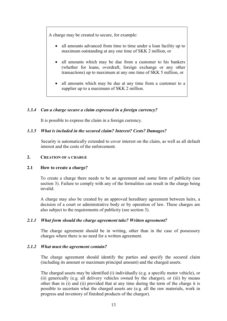A charge may be created to secure, for example:

- all amounts advanced from time to time under a loan facility up to maximum outstanding at any one time of SKK 2 million, or
- all amounts which may be due from a customer to his bankers (whether for loans, overdraft, foreign exchange or any other transactions) up to maximum at any one time of SKK 5 million, or
- all amounts which may be due at any time from a customer to a supplier up to a maximum of SKK 2 million.

# <span id="page-13-0"></span>*1.3.4 Can a charge secure a claim expressed in a foreign currency?*

It is possible to express the claim in a foreign currency.

# <span id="page-13-1"></span>*1.3.5 What is included in the secured claim? Interest? Costs? Damages?*

Security is automatically extended to cover interest on the claim, as well as all default interest and the costs of the enforcement.

# <span id="page-13-2"></span>**2. CREATION OF A CHARGE**

# <span id="page-13-3"></span>**2.1 How to create a charge?**

To create a charge there needs to be an agreement and some form of publicity (see section 3). Failure to comply with any of the formalities can result in the charge being invalid.

A charge may also be created by an approved hereditary agreement between heirs, a decision of a court or administrative body or by operation of law. These charges are also subject to the requirements of publicity (see section 3).

# <span id="page-13-4"></span>*2.1.1 What form should the charge agreement take? Written agreement?*

The charge agreement should be in writing, other than in the case of possessory charges where there is no need for a written agreement.

# <span id="page-13-5"></span>*2.1.2 What must the agreement contain?*

The charge agreement should identify the parties and specify the secured claim (including its amount or maximum principal amount) and the charged assets.

The charged assets may be identified (i) individually (e.g. a specific motor vehicle), or (ii) generically (e.g. all delivery vehicles owned by the chargor), or (iii) by means other than in (i) and (ii) provided that at any time during the term of the charge it is possible to ascertain what the charged assets are (e.g. all the raw materials, work in progress and inventory of finished products of the chargor).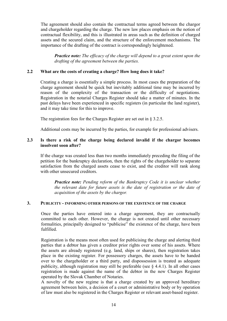The agreement should also contain the contractual terms agreed between the chargor and chargeholder regarding the charge. The new law places emphasis on the notion of contractual flexibility, and this is illustrated in areas such as the definition of charged assets and the secured claim, and the structure of the enforcement mechanisms. The importance of the drafting of the contract is correspondingly heightened.

*Practice note: The efficacy of the charge will depend to a great extent upon the drafting of the agreement between the parties.*

# <span id="page-14-0"></span>**2.2 What are the costs of creating a charge? How long does it take?**

Creating a charge is essentially a simple process. In most cases the preparation of the charge agreement should be quick but inevitably additional time may be incurred by reason of the complexity of the transaction or the difficulty of negotiations. Registration in the notarial Charges Register should take a matter of minutes. In the past delays have been experienced in specific registers (in particular the land register), and it may take time for this to improve.

The registration fees for the Charges Register are set out in § 3.2.5.

Additional costs may be incurred by the parties, for example for professional advisers.

# <span id="page-14-1"></span>**2.3 Is there a risk of the charge being declared invalid if the chargor becomes insolvent soon after?**

If the charge was created less than two months immediately preceding the filing of the petition for the bankruptcy declaration, then the rights of the chargeholder to separate satisfaction from the charged assets cease to exist, and the creditor will rank along with other unsecured creditors.

*Practice note: Pending reform of the Bankruptcy Code it is unclear whether the relevant date for future assets is the date of registration or the date of acquisition of the assets by the chargor.* 

# <span id="page-14-2"></span>**3. PUBLICITY - INFORMING OTHER PERSONS OF THE EXISTENCE OF THE CHARGE**

Once the parties have entered into a charge agreement, they are contractually committed to each other. However, the charge is not created until other necessary formalities, principally designed to "publicise" the existence of the charge, have been fulfilled.

Registration is the means most often used for publicising the charge and alerting third parties that a debtor has given a creditor prior rights over some of his assets. Where the assets are already registered (e.g. land, ships or shares), then registration takes place in the existing register. For possessory charges, the assets have to be handed over to the chargeholder or a third party, and dispossession is treated as adequate publicity, although registration may still be preferable (see § 4.4.1). In all other cases registration is made against the name of the debtor in the new Charges Register operated by the Slovak Chamber of Notaries.

A novelty of the new regime is that a charge created by an approved hereditary agreement between heirs, a decision of a court or administrative body or by operation of law must also be registered in the Charges Register or relevant asset-based register.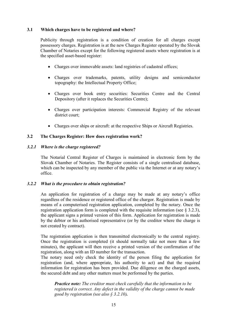# <span id="page-15-0"></span>**3.1 Which charges have to be registered and where?**

Publicity through registration is a condition of creation for all charges except possessory charges. Registration is at the new Charges Register operated by the Slovak Chamber of Notaries except for the following registered assets where registration is at the specified asset-based register:

- Charges over immovable assets: land registries of cadastral offices;
- Charges over trademarks, patents, utility designs and semiconductor topography: the Intellectual Property Office;
- Charges over book entry securities: Securities Centre and the Central Depository (after it replaces the Securities Centre);
- Charges over participation interests: Commercial Registry of the relevant district court;
- Charges over ships or aircraft: at the respective Ships or Aircraft Registries.

### <span id="page-15-1"></span>**3.2 The Charges Register: How does registration work?**

#### <span id="page-15-2"></span>*3.2.1 Where is the charge registered?*

The Notarial Central Register of Charges is maintained in electronic form by the Slovak Chamber of Notaries. The Register consists of a single centralised database, which can be inspected by any member of the public via the Internet or at any notary's office.

#### <span id="page-15-3"></span>*3.2.2 What is the procedure to obtain registration?*

An application for registration of a charge may be made at any notary's office regardless of the residence or registered office of the chargor. Registration is made by means of a computerised registration application, completed by the notary. Once the registration application form is completed with the requisite information (see  $\S$  3.2.3), the applicant signs a printed version of this form. Application for registration is made by the debtor or his authorised representative (or by the creditor where the charge is not created by contract).

The registration application is then transmitted electronically to the central registry. Once the registration is completed (it should normally take not more than a few minutes), the applicant will then receive a printed version of the confirmation of the registration, along with an ID number for the transaction.

The notary need only check the identity of the person filing the application for registration (and, where appropriate, his authority to act) and that the required information for registration has been provided. Due diligence on the charged assets, the secured debt and any other matters must be performed by the parties.

*Practice note: The creditor must check carefully that the information to be registered is correct. Any defect in the validity of the charge cannot be made good by registration (see also § 3.2.10).*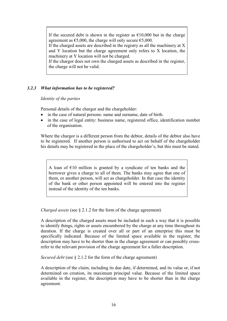If the secured debt is shown in the register as  $E10,000$  but in the charge agreement as  $\epsilon$ 5,000, the charge will only secure  $\epsilon$ 5,000.

If the charged assets are described in the registry as all the machinery at X and Y location but the charge agreement only refers to X location, the machinery at Y location will not be charged.

If the chargor does not own the charged assets as described in the register, the charge will not be valid.

# <span id="page-16-0"></span>*3.2.3 What information has to be registered?*

#### *Identity of the parties*

Personal details of the chargor and the chargeholder:

- in the case of natural persons: name and surname, date of birth.
- in the case of legal entity: business name, registered office, identification number of the organisation.

Where the chargor is a different person from the debtor, details of the debtor also have to be registered. If another person is authorised to act on behalf of the chargeholder his details may be registered in the place of the chargeholder's, but this must be stated.

A loan of  $E10$  million is granted by a syndicate of ten banks and the borrower gives a charge to all of them. The banks may agree that one of them, or another person, will act as chargeholder. In that case the identity of the bank or other person appointed will be entered into the register instead of the identity of the ten banks.

*Charged assets* (see § 2.1.2 for the form of the charge agreement)

A description of the charged assets must be included in such a way that it is possible to identify things, rights or assets encumbered by the charge at any time throughout its duration. If the charge is created over all or part of an enterprise this must be specifically indicated. Because of the limited space available in the register, the description may have to be shorter than in the charge agreement or can possibly crossrefer to the relevant provision of the charge agreement for a fuller description.

*Secured debt* (see § 2.1.2 for the form of the charge agreement)

A description of the claim, including its due date, if determined, and its value or, if not determined on creation, its maximum principal value. Because of the limited space available in the register, the description may have to be shorter than in the charge agreement.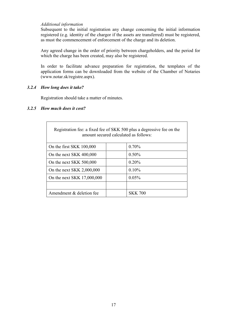#### *Additional information*

Subsequent to the initial registration any change concerning the initial information registered (e.g. identity of the chargor if the assets are transferred) must be registered, as must the commencement of enforcement of the charge and its deletion.

Any agreed change in the order of priority between chargeholders, and the period for which the charge has been created, may also be registered.

In order to facilitate advance preparation for registration, the templates of the application forms can be downloaded from the website of the Chamber of Notaries (www.notar.sk/registre.aspx).

### *3.2.4 How long does it take?*

<span id="page-17-0"></span>Registration should take a matter of minutes.

#### <span id="page-17-1"></span>*3.2.5 How much does it cost?*

| Registration fee: a fixed fee of SKK 500 plus a degressive fee on the<br>amount secured calculated as follows: |  |                |  |  |  |
|----------------------------------------------------------------------------------------------------------------|--|----------------|--|--|--|
| On the first SKK 100,000                                                                                       |  | $0.70\%$       |  |  |  |
| On the next SKK 400,000                                                                                        |  | $0.50\%$       |  |  |  |
| On the next SKK 500,000                                                                                        |  | 0.20%          |  |  |  |
| On the next SKK 2,000,000                                                                                      |  | 0.10%          |  |  |  |
| On the next SKK 17,000,000                                                                                     |  | 0.05%          |  |  |  |
|                                                                                                                |  |                |  |  |  |
| Amendment & deletion fee                                                                                       |  | <b>SKK 700</b> |  |  |  |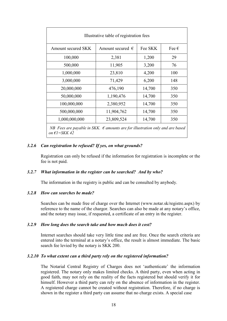| Illustrative table of registration fees                                                                            |                      |         |           |  |
|--------------------------------------------------------------------------------------------------------------------|----------------------|---------|-----------|--|
| Amount secured SKK                                                                                                 | Amount secured $\in$ | Fee SKK | Fee $\in$ |  |
| 100,000                                                                                                            | 2,381                | 1,200   | 29        |  |
| 500,000                                                                                                            | 11,905               | 3,200   | 76        |  |
| 1,000,000                                                                                                          | 23,810               | 4,200   | 100       |  |
| 3,000,000                                                                                                          | 71,429               | 6,200   | 148       |  |
| 20,000,000                                                                                                         | 476,190              | 14,700  | 350       |  |
| 50,000,000                                                                                                         | 1,190,476            | 14,700  | 350       |  |
| 100,000,000                                                                                                        | 2,380,952            | 14,700  | 350       |  |
| 500,000,000                                                                                                        | 11,904,762           | 14,700  | 350       |  |
| 1,000,000,000                                                                                                      | 23,809,524           | 14,700  | 350       |  |
| NB Fees are payable in SKK. $\epsilon$ amounts are for illustration only and are based<br>on $\epsilon$ l = SKK 42 |                      |         |           |  |

### <span id="page-18-0"></span>*3.2.6 Can registration be refused? If yes, on what grounds?*

Registration can only be refused if the information for registration is incomplete or the fee is not paid.

#### <span id="page-18-1"></span>*3.2.7 What information in the register can be searched? And by who?*

The information in the registry is public and can be consulted by anybody.

#### <span id="page-18-2"></span>*3.2.8 How can searches be made?*

Searches can be made free of charge over the Internet (www.notar.sk/registre.aspx) by reference to the name of the chargor. Searches can also be made at any notary's office, and the notary may issue, if requested, a certificate of an entry in the register.

#### <span id="page-18-3"></span>*3.2.9 How long does the search take and how much does it cost?*

Internet searches should take very little time and are free. Once the search criteria are entered into the terminal at a notary's office, the result is almost immediate. The basic search fee levied by the notary is SKK 200.

#### <span id="page-18-4"></span>*3.2.10 To what extent can a third party rely on the registered information?*

The Notarial Central Registry of Charges does not 'authenticate' the information registered. The notary only makes limited checks. A third party, even when acting in good faith, may not rely on the reality of the facts registered but should verify it for himself. However a third party can rely on the absence of information in the register. A registered charge cannot be created without registration. Therefore, if no charge is shown in the register a third party can assume that no charge exists. A special case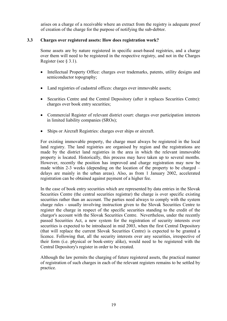arises on a charge of a receivable where an extract from the registry is adequate proof of creation of the charge for the purpose of notifying the sub-debtor.

# <span id="page-19-0"></span>**3.3 Charges over registered assets: How does registration work?**

Some assets are by nature registered in specific asset-based registries, and a charge over them will need to be registered in the respective registry, and not in the Charges Register (see § 3.1).

- Intellectual Property Office: charges over trademarks, patents, utility designs and semiconductor topography;
- Land registries of cadastral offices: charges over immovable assets;
- Securities Centre and the Central Depository (after it replaces Securities Centre): charges over book entry securities;
- Commercial Register of relevant district court: charges over participation interests in limited liability companies (SROs);
- Ships or Aircraft Registries: charges over ships or aircraft.

For existing immovable property, the charge must always be registered in the local land registry. The land registries are organised by region and the registrations are made by the district land registries in the area in which the relevant immovable property is located. Historically, this process may have taken up to several months. However, recently the position has improved and charge registration may now be made within 2-3 weeks (depending on the location of the property to be charged – delays are mainly in the urban areas). Also, as from 1 January 2002, accelerated registration can be obtained against payment of a higher fee.

In the case of book entry securities which are represented by data entries in the Slovak Securities Centre (the central securities registrar) the charge is over specific existing securities rather than an account. The parties need always to comply with the system charge rules - usually involving instruction given to the Slovak Securities Centre to register the charge in respect of the specific securities standing to the credit of the chargor's account with the Slovak Securities Centre. Nevertheless, under the recently passed Securities Act, a new system for the registration of security interests over securities is expected to be introduced in mid 2003, when the first Central Depository (that will replace the current Slovak Securities Centre) is expected to be granted a licence. Following that, all the security interests over any securities, irrespective of their form (i.e. physical or book-entry alike), would need to be registered with the Central Depository's register in order to be created.

Although the law permits the charging of future registered assets, the practical manner of registration of such charges in each of the relevant registers remains to be settled by practice.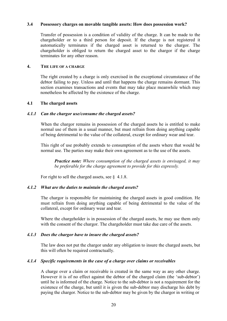#### **3.4 Possessory charges on movable tangible assets: How does possession work?**

Transfer of possession is a condition of validity of the charge. It can be made to the chargeholder or to a third person for deposit. If the charge is not registered it automatically terminates if the charged asset is returned to the chargor. The chargeholder is obliged to return the charged asset to the chargor if the charge terminates for any other reason.

# <span id="page-20-0"></span>**4. THE LIFE OF A CHARGE**

The right created by a charge is only exercised in the exceptional circumstance of the debtor failing to pay. Unless and until that happens the charge remains dormant. This section examines transactions and events that may take place meanwhile which may nonetheless be affected by the existence of the charge.

#### <span id="page-20-1"></span>**4.1 The charged assets**

#### <span id="page-20-2"></span>*4.1.1 Can the chargor use/consume the charged assets?*

When the chargor remains in possession of the charged assets he is entitled to make normal use of them in a usual manner, but must refrain from doing anything capable of being detrimental to the value of the collateral, except for ordinary wear and tear.

This right of use probably extends to consumption of the assets where that would be normal use. The parties may make their own agreement as to the use of the assets.

*Practice note: Where consumption of the charged assets is envisaged, it may be preferable for the charge agreement to provide for this expressly.*

For right to sell the charged assets, see § 4.1.8.

#### <span id="page-20-3"></span>*4.1.2 What are the duties to maintain the charged assets?*

The chargor is responsible for maintaining the charged assets in good condition. He must refrain from doing anything capable of being detrimental to the value of the collateral, except for ordinary wear and tear.

Where the chargeholder is in possession of the charged assets, he may use them only with the consent of the chargor. The chargeholder must take due care of the assets.

#### <span id="page-20-4"></span>*4.1.3 Does the chargor have to insure the charged assets?*

The law does not put the chargor under any obligation to insure the charged assets, but this will often be required contractually.

#### <span id="page-20-5"></span>*4.1.4 Specific requirements in the case of a charge over claims or receivables*

A charge over a claim or receivable is created in the same way as any other charge. However it is of no effect against the debtor of the charged claim (the 'sub-debtor') until he is informed of the charge. Notice to the sub-debtor is not a requirement for the existence of the charge, but until it is given the sub-debtor may discharge his debt by paying the chargor. Notice to the sub-debtor may be given by the chargor in writing or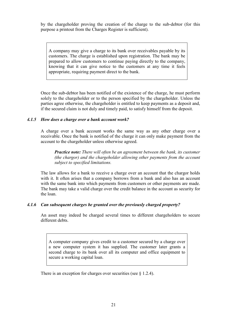by the chargeholder proving the creation of the charge to the sub-debtor (for this purpose a printout from the Charges Register is sufficient).

A company may give a charge to its bank over receivables payable by its customers. The charge is established upon registration. The bank may be prepared to allow customers to continue paying directly to the company, knowing that it can give notice to the customers at any time it feels appropriate, requiring payment direct to the bank.

Once the sub-debtor has been notified of the existence of the charge, he must perform solely to the chargeholder or to the person specified by the chargeholder. Unless the parties agree otherwise, the chargeholder is entitled to keep payments as a deposit and, if the secured claim is not duly and timely paid, to satisfy himself from the deposit.

### <span id="page-21-0"></span>*4.1.5 How does a charge over a bank account work?*

A charge over a bank account works the same way as any other charge over a receivable. Once the bank is notified of the charge it can only make payment from the account to the chargeholder unless otherwise agreed.

*Practice note: There will often be an agreement between the bank, its customer (the chargor) and the chargeholder allowing other payments from the account subject to specified limitations.* 

The law allows for a bank to receive a charge over an account that the chargor holds with it. It often arises that a company borrows from a bank and also has an account with the same bank into which payments from customers or other payments are made. The bank may take a valid charge over the credit balance in the account as security for the loan.

# <span id="page-21-1"></span>*4.1.6 Can subsequent charges be granted over the previously charged property?*

An asset may indeed be charged several times to different chargeholders to secure different debts.

A computer company gives credit to a customer secured by a charge over a new computer system it has supplied. The customer later grants a second charge to its bank over all its computer and office equipment to secure a working capital loan.

There is an exception for charges over securities (see  $\S$  1.2.4).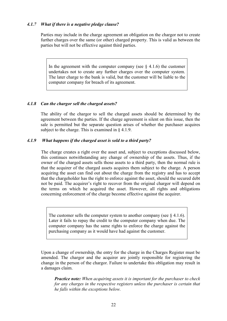# *4.1.7 What if there is a negative pledge clause?*

Parties may include in the charge agreement an obligation on the chargor not to create further charges over the same (or other) charged property. This is valid as between the parties but will not be effective against third parties.

In the agreement with the computer company (see  $\S$  4.1.6) the customer undertakes not to create any further charges over the computer system. The later charge to the bank is valid, but the customer will be liable to the computer company for breach of its agreement.

#### <span id="page-22-0"></span>*4.1.8 Can the chargor sell the charged assets?*

The ability of the chargor to sell the charged assets should be determined by the agreement between the parties. If the charge agreement is silent on this issue, then the sale is permitted but the separate question arises of whether the purchaser acquires subject to the charge. This is examined in § 4.1.9.

### <span id="page-22-1"></span>*4.1.9 What happens if the charged asset is sold to a third party?*

The charge creates a right over the asset and, subject to exceptions discussed below, this continues notwithstanding any change of ownership of the assets. Thus, if the owner of the charged assets sells those assets to a third party, then the normal rule is that the acquirer of the charged assets acquires them subject to the charge. A person acquiring the asset can find out about the charge from the registry and has to accept that the chargeholder has the right to enforce against the asset, should the secured debt not be paid. The acquirer's right to recover from the original chargor will depend on the terms on which he acquired the asset. However, all rights and obligations concerning enforcement of the charge become effective against the acquirer.

The customer sells the computer system to another company (see  $\S$  4.1.6). Later it fails to repay the credit to the computer company when due. The computer company has the same rights to enforce the charge against the purchasing company as it would have had against the customer.

Upon a change of ownership, the entry for the charge in the Charges Register must be amended. The chargor and the acquirer are jointly responsible for registering the change in the person of the chargor. Failure to undertake this obligation may result in a damages claim.

*Practice note: When acquiring assets it is important for the purchaser to check for any charges in the respective registers unless the purchaser is certain that he falls within the exceptions below.*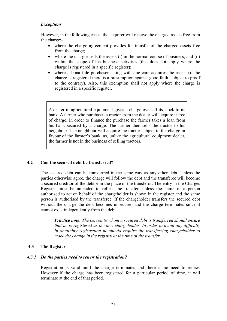# *Exceptions*

However, in the following cases, the acquirer will receive the charged assets free from the charge:-

- where the charge agreement provides for transfer of the charged assets free from the charge;
- $\bullet$  where the chargor sells the assets (i) in the normal course of business, and (ii) within the scope of his business activities (this does not apply where the charge is registered in a specific register);
- where a bona fide purchaser acting with due care acquires the assets (if the charge is registered there is a presumption against good faith, subject to proof to the contrary). Also, this exemption shall not apply where the charge is registered in a specific register.

A dealer in agricultural equipment gives a charge over all its stock to its bank. A farmer who purchases a tractor from the dealer will acquire it free of charge. In order to finance the purchase the farmer takes a loan from his bank secured by a charge. The farmer then sells the tractor to his neighbour. The neighbour will acquire the tractor subject to the charge in favour of the farmer's bank, as, unlike the agricultural equipment dealer, the farmer is not in the business of selling tractors.

# <span id="page-23-0"></span>**4.2 Can the secured debt be transferred?**

The secured debt can be transferred in the same way as any other debt. Unless the parties otherwise agree, the charge will follow the debt and the transferee will become a secured creditor of the debtor in the place of the transferor. The entry in the Charges Register must be amended to reflect the transfer, unless the name of a person authorised to act on behalf of the chargeholder is shown in the register and the same person is authorised by the transferee. If the chargeholder transfers the secured debt without the charge the debt becomes unsecured and the charge terminates since it cannot exist independently from the debt.

*Practice note: The person to whom a secured debt is transferred should ensure that he is registered as the new chargeholder. In order to avoid any difficulty in obtaining registration he should require the transferring chargeholder to make the change in the registry at the time of the transfer.* 

#### <span id="page-23-1"></span>**4.3 The Register**

#### <span id="page-23-2"></span>*4.3.1 Do the parties need to renew the registration?*

Registration is valid until the charge terminates and there is no need to renew. However if the charge has been registered for a particular period of time, it will terminate at the end of that period.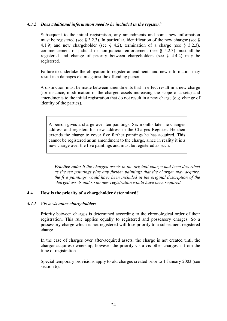# *4.3.2 Does additional information need to be included in the register?*

Subsequent to the initial registration, any amendments and some new information must be registered (see  $\S$  3.2.3). In particular, identification of the new chargor (see  $\S$ ) 4.1.9) and new chargeholder (see  $\S$  4.2), termination of a charge (see  $\S$  3.2.3), commencement of judicial or non-judicial enforcement (see  $\S$  5.2.3) must all be registered and change of priority between chargeholders (see § 4.4.2) may be registered.

Failure to undertake the obligation to register amendments and new information may result in a damages claim against the offending person.

A distinction must be made between amendments that in effect result in a new charge (for instance, modification of the charged assets increasing the scope of assets) and amendments to the initial registration that do not result in a new charge (e.g. change of identity of the parties).

A person gives a charge over ten paintings. Six months later he changes address and registers his new address in the Charges Register. He then extends the charge to cover five further paintings he has acquired. This cannot be registered as an amendment to the charge, since in reality it is a new charge over the five paintings and must be registered as such.

*Practice note: If the charged assets in the original charge had been described as the ten paintings plus any further paintings that the chargor may acquire, the five paintings would have been included in the original description of the charged assets and so no new registration would have been required.*

#### <span id="page-24-0"></span>**4.4 How is the priority of a chargeholder determined?**

#### <span id="page-24-1"></span>*4.4.1 Vis-à-vis other chargeholders*

Priority between charges is determined according to the chronological order of their registration. This rule applies equally to registered and possessory charges. So a possessory charge which is not registered will lose priority to a subsequent registered charge.

In the case of charges over after-acquired assets, the charge is not created until the chargor acquires ownership, however the priority vis-à-vis other charges is from the time of registration.

Special temporary provisions apply to old charges created prior to 1 January 2003 (see section 6).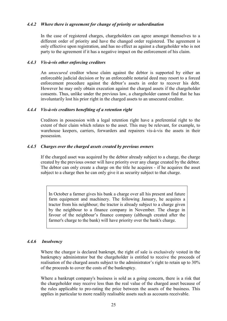# *4.4.2 Where there is agreement for change of priority or subordination*

In the case of registered charges, chargeholders can agree amongst themselves to a different order of priority and have the changed order registered. The agreement is only effective upon registration, and has no effect as against a chargeholder who is not party to the agreement if it has a negative impact on the enforcement of his claim.

#### <span id="page-25-1"></span>*4.4.3 Vis-à-vis other enforcing creditors*

An *unsecured* creditor whose claim against the debtor is supported by either an enforceable judicial decision or by an enforceable notarial deed may resort to a forced enforcement procedure against the debtor's assets in order to recover his debt. However he may only obtain execution against the charged assets if the chargeholder consents. Thus, unlike under the previous law, a chargeholder cannot find that he has involuntarily lost his prior right in the charged assets to an unsecured creditor.

#### <span id="page-25-2"></span>*4.4.4 Vis-à-vis creditors benefiting of a retention right*

Creditors in possession with a legal retention right have a preferential right to the extent of their claim which relates to the asset. This may be relevant, for example, to warehouse keepers, carriers, forwarders and repairers vis-à-vis the assets in their possession.

#### <span id="page-25-3"></span>*4.4.5 Charges over the charged assets created by previous owners*

If the charged asset was acquired by the debtor already subject to a charge, the charge created by the previous owner will have priority over any charge created by the debtor. The debtor can only create a charge on the title he acquires - if he acquires the asset subject to a charge then he can only give it as security subject to that charge.

In October a farmer gives his bank a charge over all his present and future farm equipment and machinery. The following January, he acquires a tractor from his neighbour; the tractor is already subject to a charge given by the neighbour to a finance company in November. The charge in favour of the neighbour's finance company (although created after the farmer's charge to the bank) will have priority over the bank's charge.

# <span id="page-25-4"></span>*4.4.6 Insolvency*

Where the chargor is declared bankrupt, the right of sale is exclusively vested in the bankruptcy administrator but the chargeholder is entitled to receive the proceeds of realisation of the charged assets subject to the administrator's right to retain up to 30% of the proceeds to cover the costs of the bankruptcy.

<span id="page-25-0"></span>Where a bankrupt company's business is sold as a going concern, there is a risk that the chargeholder may receive less than the real value of the charged asset because of the rules applicable to pro-rating the price between the assets of the business. This applies in particular to more readily realisable assets such as accounts receivable.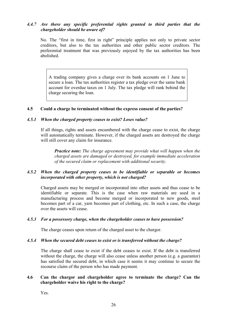# *4.4.7 Are there any specific preferential rights granted to third parties that the chargeholder should be aware of?*

No. The "first in time, first in right" principle applies not only to private sector creditors, but also to the tax authorities and other public sector creditors. The preferential treatment that was previously enjoyed by the tax authorities has been abolished.

A trading company gives a charge over its bank accounts on 1 June to secure a loan. The tax authorities register a tax pledge over the same bank account for overdue taxes on 1 July. The tax pledge will rank behind the charge securing the loan.

#### <span id="page-26-0"></span>**4.5 Could a charge be terminated without the express consent of the parties?**

#### <span id="page-26-1"></span>*4.5.1 When the charged property ceases to exist? Loses value?*

If all things, rights and assets encumbered with the charge cease to exist, the charge will automatically terminate. However, if the charged assets are destroyed the charge will still cover any claim for insurance.

*Practice note: The charge agreement may provide what will happen when the charged assets are damaged or destroyed, for example immediate acceleration of the secured claim or replacement with additional security.* 

### <span id="page-26-2"></span>*4.5.2 When the charged property ceases to be identifiable or separable or becomes incorporated with other property, which is not charged?*

Charged assets may be merged or incorporated into other assets and thus cease to be identifiable or separate. This is the case when raw materials are used in a manufacturing process and become merged or incorporated to new goods, steel becomes part of a car, yarn becomes part of clothing, etc. In such a case, the charge over the assets will cease.

#### <span id="page-26-3"></span>*4.5.3 For a possessory charge, when the chargeholder ceases to have possession?*

The charge ceases upon return of the charged asset to the chargor.

#### <span id="page-26-4"></span>*4.5.4 When the secured debt ceases to exist or is transferred without the charge?*

The charge shall cease to exist if the debt ceases to exist. If the debt is transferred without the charge, the charge will also cease unless another person (e.g. a guarantor) has satisfied the secured debt, in which case it seems it may continue to secure the recourse claim of the person who has made payment.

#### <span id="page-26-5"></span>**4.6 Can the chargor and chargeholder agree to terminate the charge? Can the chargeholder waive his right to the charge?**

Yes.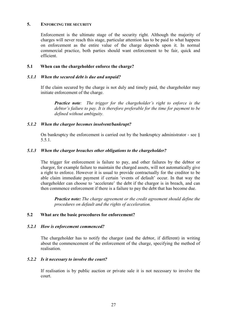#### **5. ENFORCING THE SECURITY**

Enforcement is the ultimate stage of the security right. Although the majority of charges will never reach this stage, particular attention has to be paid to what happens on enforcement as the entire value of the charge depends upon it. In normal commercial practice, both parties should want enforcement to be fair, quick and efficient.

### <span id="page-27-0"></span>**5.1 When can the chargeholder enforce the charge?**

#### <span id="page-27-1"></span>*5.1.1 When the secured debt is due and unpaid?*

If the claim secured by the charge is not duly and timely paid, the chargeholder may initiate enforcement of the charge.

*Practice note: The trigger for the chargeholder's right to enforce is the debtor's failure to pay. It is therefore preferable for the time for payment to be defined without ambiguity.*

### <span id="page-27-2"></span>*5.1.2 When the chargor becomes insolvent/bankrupt?*

On bankruptcy the enforcement is carried out by the bankruptcy administrator - see  $\delta$ 5.5.1.

### <span id="page-27-3"></span>*5.1.3 When the chargor breaches other obligations to the chargeholder?*

The trigger for enforcement is failure to pay, and other failures by the debtor or chargor, for example failure to maintain the charged assets, will not automatically give a right to enforce. However it is usual to provide contractually for the creditor to be able claim immediate payment if certain 'events of default' occur. In that way the chargeholder can choose to 'accelerate' the debt if the chargor is in breach, and can then commence enforcement if there is a failure to pay the debt that has become due.

*Practice note: The charge agreement or the credit agreement should define the procedures on default and the rights of acceleration.* 

#### <span id="page-27-4"></span>**5.2 What are the basic procedures for enforcement?**

#### <span id="page-27-5"></span>*5.2.1 How is enforcement commenced?*

The chargeholder has to notify the chargor (and the debtor, if different) in writing about the commencement of the enforcement of the charge, specifying the method of realisation.

#### <span id="page-27-6"></span>*5.2.2 Is it necessary to involve the court?*

If realisation is by public auction or private sale it is not necessary to involve the court.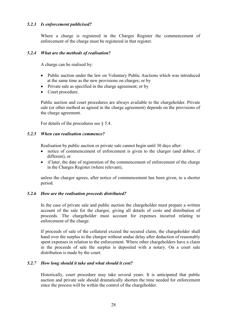# *5.2.3 Is enforcement publicised?*

Where a charge is registered in the Charges Register the commencement of enforcement of the charge must be registered in that register.

#### <span id="page-28-0"></span>*5.2.4 What are the methods of realisation?*

A charge can be realised by:

- Public auction under the law on Voluntary Public Auctions which was introduced at the same time as the new provisions on charges; or by
- Private sale as specified in the charge agreement; or by
- Court procedure.

Public auction and court procedures are always available to the chargeholder. Private sale (or other method as agreed in the charge agreement) depends on the provisions of the charge agreement.

For details of the procedures see § 5.4.

#### <span id="page-28-1"></span>*5.2.5 When can realisation commence?*

Realisation by public auction or private sale cannot begin until 30 days after:

- notice of commencement of enforcement is given to the chargor (and debtor, if different) or
- if later, the date of registration of the commencement of enforcement of the charge in the Charges Register (where relevant),

unless the chargor agrees, after notice of commencement has been given, to a shorter period.

#### <span id="page-28-2"></span>*5.2.6 How are the realisation proceeds distributed?*

In the case of private sale and public auction the chargeholder must prepare a written account of the sale for the chargor, giving all details of costs and distribution of proceeds. The chargeholder must account for expenses incurred relating to enforcement of the charge.

If proceeds of sale of the collateral exceed the secured claim, the chargeholder shall hand over the surplus to the chargor without undue delay after deduction of reasonably spent expenses in relation to the enforcement. Where other chargeholders have a claim in the proceeds of sale the surplus is deposited with a notary. On a court sale distribution is made by the court.

# <span id="page-28-3"></span>*5.2.7 How long should it take and what should it cost?*

Historically, court procedure may take several years. It is anticipated that public auction and private sale should dramatically shorten the time needed for enforcement since the process will be within the control of the chargeholder.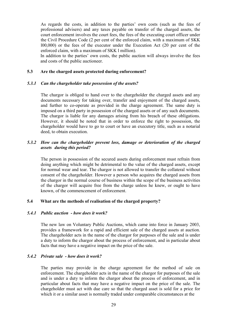As regards the costs, in addition to the parties' own costs (such as the fees of professional advisers) and any taxes payable on transfer of the charged assets, the court enforcement involves the court fees, the fees of the executing court officer under the Civil Procedure Code (2 per cent of the enforced claim, with a maximum of SKK l00,000) or the fees of the executor under the Execution Act (20 per cent of the enforced claim, with a maximum of SKK l million).

In addition to the parties' own costs, the public auction will always involve the fees and costs of the public auctioneer.

#### <span id="page-29-0"></span>**5.3 Are the charged assets protected during enforcement?**

#### <span id="page-29-1"></span>*5.3.1 Can the chargeholder take possession of the assets?*

The chargor is obliged to hand over to the chargeholder the charged assets and any documents necessary for taking over, transfer and enjoyment of the charged assets, and further to co-operate as provided in the charge agreement. The same duty is imposed on a third party in possession of the charged assets or of any such documents. The chargor is liable for any damages arising from his breach of these obligations. However, it should be noted that in order to enforce the right to possession, the chargeholder would have to go to court or have an executory title, such as a notarial deed, to obtain execution.

# <span id="page-29-2"></span>*5.3.2 How can the chargeholder prevent loss, damage or deterioration of the charged assets during this period?*

The person in possession of the secured assets during enforcement must refrain from doing anything which might be detrimental to the value of the charged assets, except for normal wear and tear. The chargor is not allowed to transfer the collateral without consent of the chargeholder. However a person who acquires the charged assets from the chargor in the normal course of business within the scope of the business activities of the chargor will acquire free from the charge unless he knew, or ought to have known, of the commencement of enforcement.

# <span id="page-29-3"></span>**5.4 What are the methods of realisation of the charged property?**

#### <span id="page-29-4"></span>*5.4.1 Public auction - how does it work?*

The new law on Voluntary Public Auctions, which came into force in January 2003, provides a framework for a rapid and efficient sale of the charged assets at auction. The chargeholder acts in the name of the chargor for purposes of the sale and is under a duty to inform the chargor about the process of enforcement, and in particular about facts that may have a negative impact on the price of the sale.

#### <span id="page-29-5"></span>*5.4.2 Private sale - how does it work?*

The parties may provide in the charge agreement for the method of sale on enforcement. The chargeholder acts in the name of the chargor for purposes of the sale and is under a duty to inform the chargor about the process of enforcement, and in particular about facts that may have a negative impact on the price of the sale. The chargeholder must act with due care so that the charged asset is sold for a price for which it or a similar asset is normally traded under comparable circumstances at the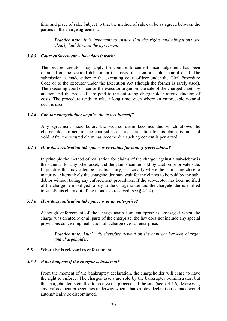time and place of sale. Subject to that the method of sale can be as agreed between the parties in the charge agreement.

*Practice note: It is important to ensure that the rights and obligations are clearly laid down in the agreement.*

#### <span id="page-30-0"></span>*5.4.3 Court enforcement - how does it work?*

The secured creditor may apply for court enforcement once judgement has been obtained on the secured debt or on the basis of an enforceable notarial deed. The submission is made either to the executing court officer under the Civil Procedure Code or to the executor under the Execution Act (though the former is rarely used). The executing court officer or the executor organises the sale of the charged assets by auction and the proceeds are paid to the enforcing chargeholder after deduction of costs. The procedure tends to take a long time, even where an enforceable notarial deed is used.

#### <span id="page-30-1"></span>*5.4.4 Can the chargeholder acquire the assets himself?*

Any agreement made before the secured claim becomes due which allows the chargeholder to acquire the charged assets, as satisfaction for his claim, is null and void. After the secured claim has become due such agreement is permitted.

#### <span id="page-30-2"></span>*5.4.5 How does realisation take place over claims for money (receivables)?*

In principle the method of realisation for claims of the chargor against a sub-debtor is the same as for any other asset, and the claims can be sold by auction or private sale. In practice this may often be unsatisfactory, particularly where the claims are close to maturity. Alternatively the chargeholder may wait for the claims to be paid by the subdebtor without taking any enforcement procedures. If the sub-debtor has been notified of the charge he is obliged to pay to the chargeholder and the chargeholder is entitled to satisfy his claim out of the money so received (see  $\S$  4.1.4).

#### <span id="page-30-3"></span>*5.4.6 How does realisation take place over an enterprise?*

Although enforcement of the charge against an enterprise is envisaged when the charge was created over all parts of the enterprise, the law does not include any special provisions concerning realisation of a charge over an enterprise.

*Practice note: Much will therefore depend on the contract between chargor and chargeholder.* 

#### <span id="page-30-4"></span>**5.5 What else is relevant to enforcement?**

#### <span id="page-30-5"></span>*5.5.1 What happens if the chargor is insolvent?*

From the moment of the bankruptcy declaration, the chargeholder will cease to have the right to enforce. The charged assets are sold by the bankruptcy administrator, but the chargeholder is entitled to receive the proceeds of the sale (see  $\S$  4.4.6). Moreover, any enforcement proceedings underway when a bankruptcy declaration is made would automatically be discontinued.